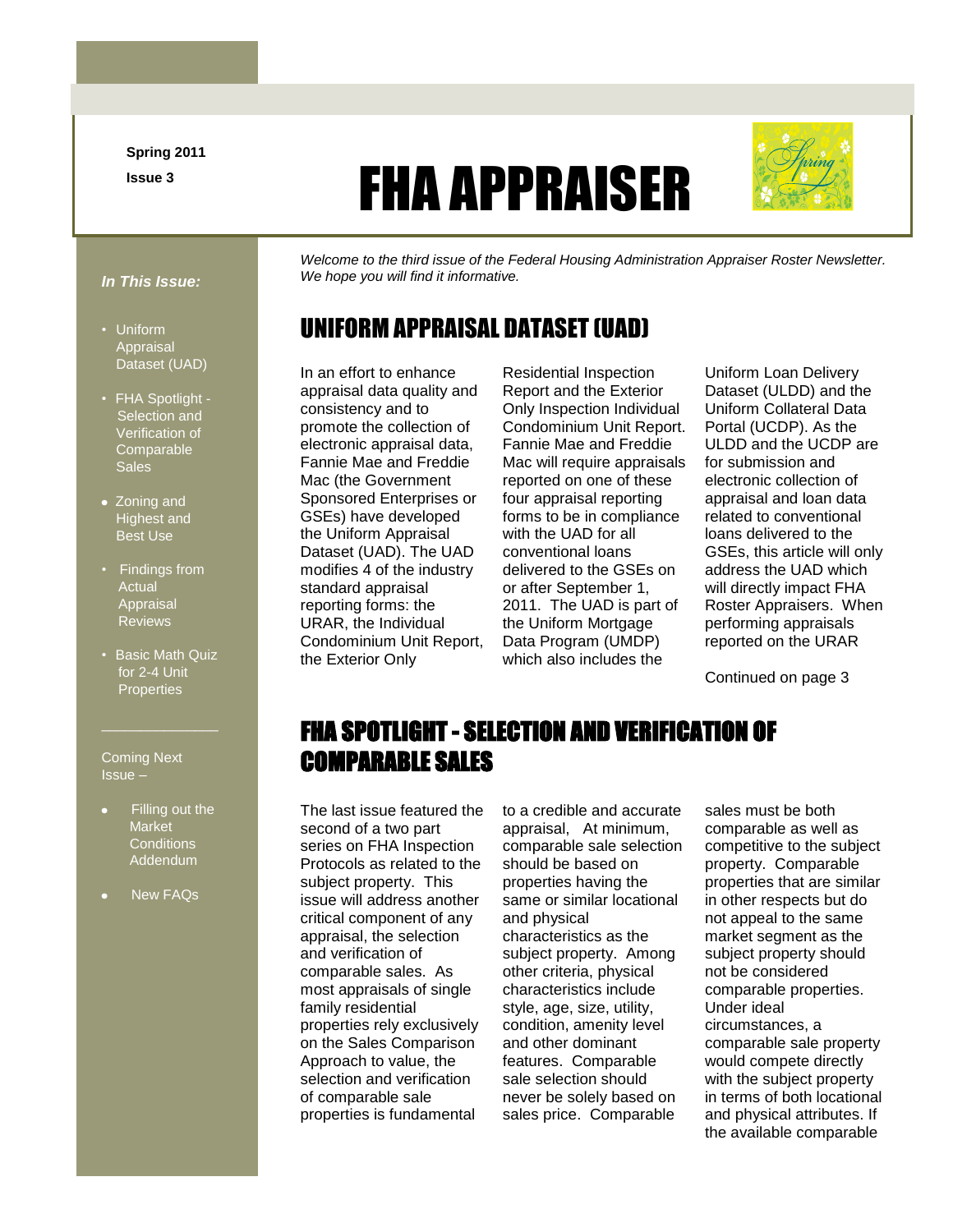**Spring 2011 Issue 3**

# FHA APPRAISER



#### *In This Issue:*

- Uniform Appraisal Dataset (UAD)
- FHA Spotlight Selection and Verification of **Comparable Sales**
- Zoning and Highest and Best Use
- Findings from **Actual** Appraisal **Reviews**
- Basic Math Quiz for 2-4 Unit **Properties**

Coming Next Issue –

- Filling out the Market **Conditions** Addendum
- New FAQs

*Welcome to the third issue of the Federal Housing Administration Appraiser Roster Newsletter. We hope you will find it informative.*

#### UNIFORM APPRAISAL DATASET (UAD)

In an effort to enhance appraisal data quality and consistency and to promote the collection of electronic appraisal data, Fannie Mae and Freddie Mac (the Government Sponsored Enterprises or GSEs) have developed the Uniform Appraisal Dataset (UAD). The UAD modifies 4 of the industry standard appraisal reporting forms: the URAR, the Individual Condominium Unit Report, the Exterior Only

Residential Inspection Report and the Exterior Only Inspection Individual Condominium Unit Report. Fannie Mae and Freddie Mac will require appraisals reported on one of these four appraisal reporting forms to be in compliance with the UAD for all conventional loans delivered to the GSEs on or after September 1, 2011. The UAD is part of the Uniform Mortgage Data Program (UMDP) which also includes the

Uniform Loan Delivery Dataset (ULDD) and the Uniform Collateral Data Portal (UCDP). As the ULDD and the UCDP are for submission and electronic collection of appraisal and loan data related to conventional loans delivered to the GSEs, this article will only address the UAD which will directly impact FHA Roster Appraisers. When performing appraisals reported on the URAR

Continued on page 3

#### FHA SPOTLIGHT - SELECTION AND VERIFICATION OF COMPARABLE SALES

The last issue featured the second of a two part series on FHA Inspection Protocols as related to the subject property. This issue will address another critical component of any appraisal, the selection and verification of comparable sales. As most appraisals of single family residential properties rely exclusively on the Sales Comparison Approach to value, the selection and verification of comparable sale properties is fundamental

to a credible and accurate appraisal, At minimum, comparable sale selection should be based on properties having the same or similar locational and physical

characteristics as the subject property. Among other criteria, physical characteristics include style, age, size, utility, condition, amenity level and other dominant features. Comparable sale selection should never be solely based on sales price. Comparable sales must be both comparable as well as competitive to the subject property. Comparable properties that are similar in other respects but do not appeal to the same market segment as the subject property should not be considered comparable properties. Under ideal circumstances, a comparable sale property would compete directly with the subject property in terms of both locational and physical attributes. If the available comparable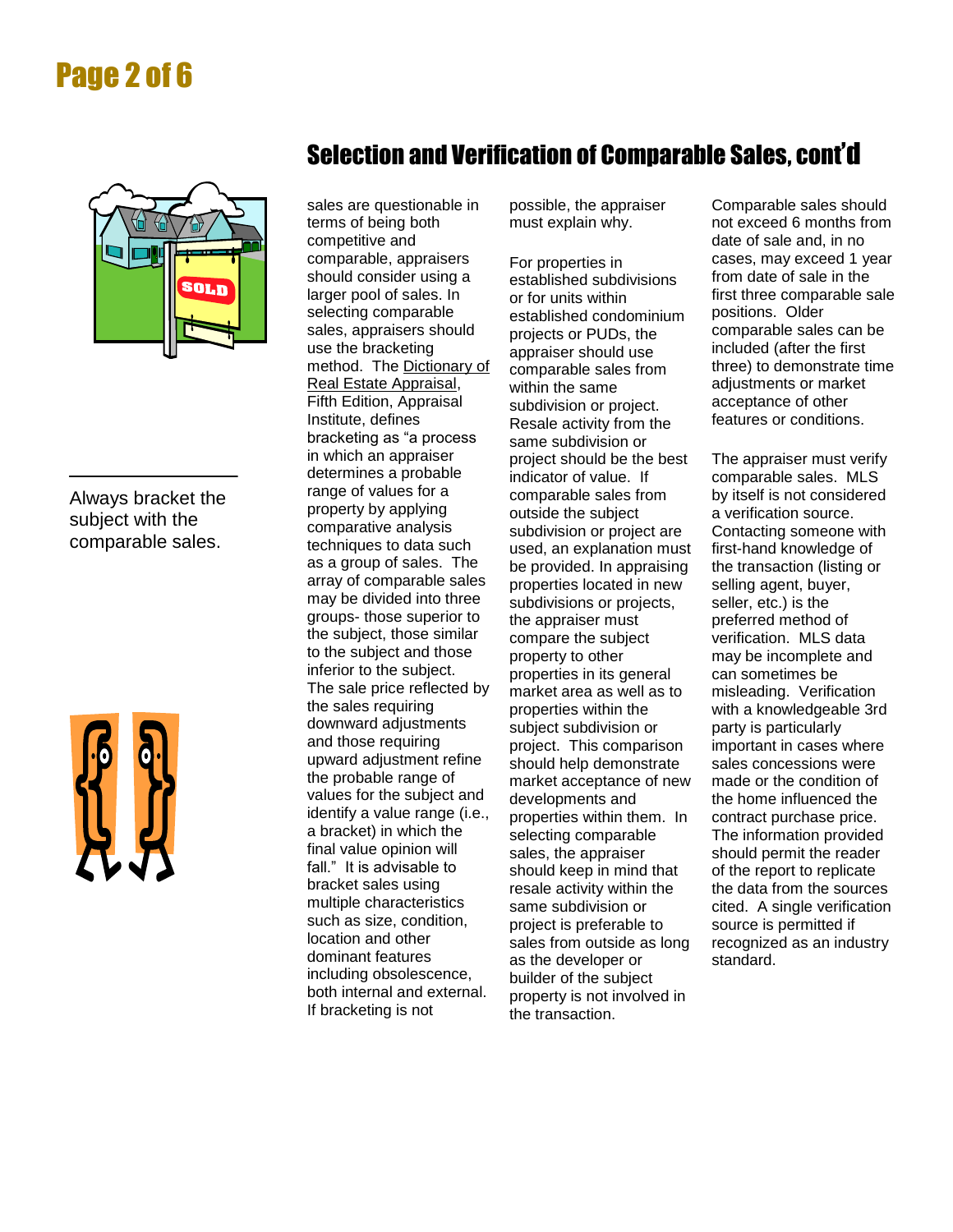# Page 2 of 6



Always bracket the subject with the comparable sales.



#### Selection and Verification of Comparable Sales, cont'd

sales are questionable in terms of being both competitive and comparable, appraisers should consider using a larger pool of sales. In selecting comparable sales, appraisers should use the bracketing method. The Dictionary of Real Estate Appraisal, Fifth Edition, Appraisal Institute, defines bracketing as "a process in which an appraiser determines a probable range of values for a property by applying comparative analysis techniques to data such as a group of sales. The array of comparable sales may be divided into three groups- those superior to the subject, those similar to the subject and those inferior to the subject. The sale price reflected by the sales requiring downward adjustments and those requiring upward adjustment refine the probable range of values for the subject and identify a value range (i.e., a bracket) in which the final value opinion will fall." It is advisable to bracket sales using multiple characteristics such as size, condition, location and other dominant features including obsolescence, both internal and external. If bracketing is not

possible, the appraiser must explain why.

For properties in established subdivisions or for units within established condominium projects or PUDs, the appraiser should use comparable sales from within the same subdivision or project. Resale activity from the same subdivision or project should be the best indicator of value. If comparable sales from outside the subject subdivision or project are used, an explanation must be provided. In appraising properties located in new subdivisions or projects, the appraiser must compare the subject property to other properties in its general market area as well as to properties within the subject subdivision or project. This comparison should help demonstrate market acceptance of new developments and properties within them. In selecting comparable sales, the appraiser should keep in mind that resale activity within the same subdivision or project is preferable to sales from outside as long as the developer or builder of the subject property is not involved in the transaction.

Comparable sales should not exceed 6 months from date of sale and, in no cases, may exceed 1 year from date of sale in the first three comparable sale positions. Older comparable sales can be included (after the first three) to demonstrate time adjustments or market acceptance of other features or conditions.

The appraiser must verify comparable sales. MLS by itself is not considered a verification source. Contacting someone with first-hand knowledge of the transaction (listing or selling agent, buyer, seller, etc.) is the preferred method of verification. MLS data may be incomplete and can sometimes be misleading. Verification with a knowledgeable 3rd party is particularly important in cases where sales concessions were made or the condition of the home influenced the contract purchase price. The information provided should permit the reader of the report to replicate the data from the sources cited. A single verification source is permitted if recognized as an industry standard.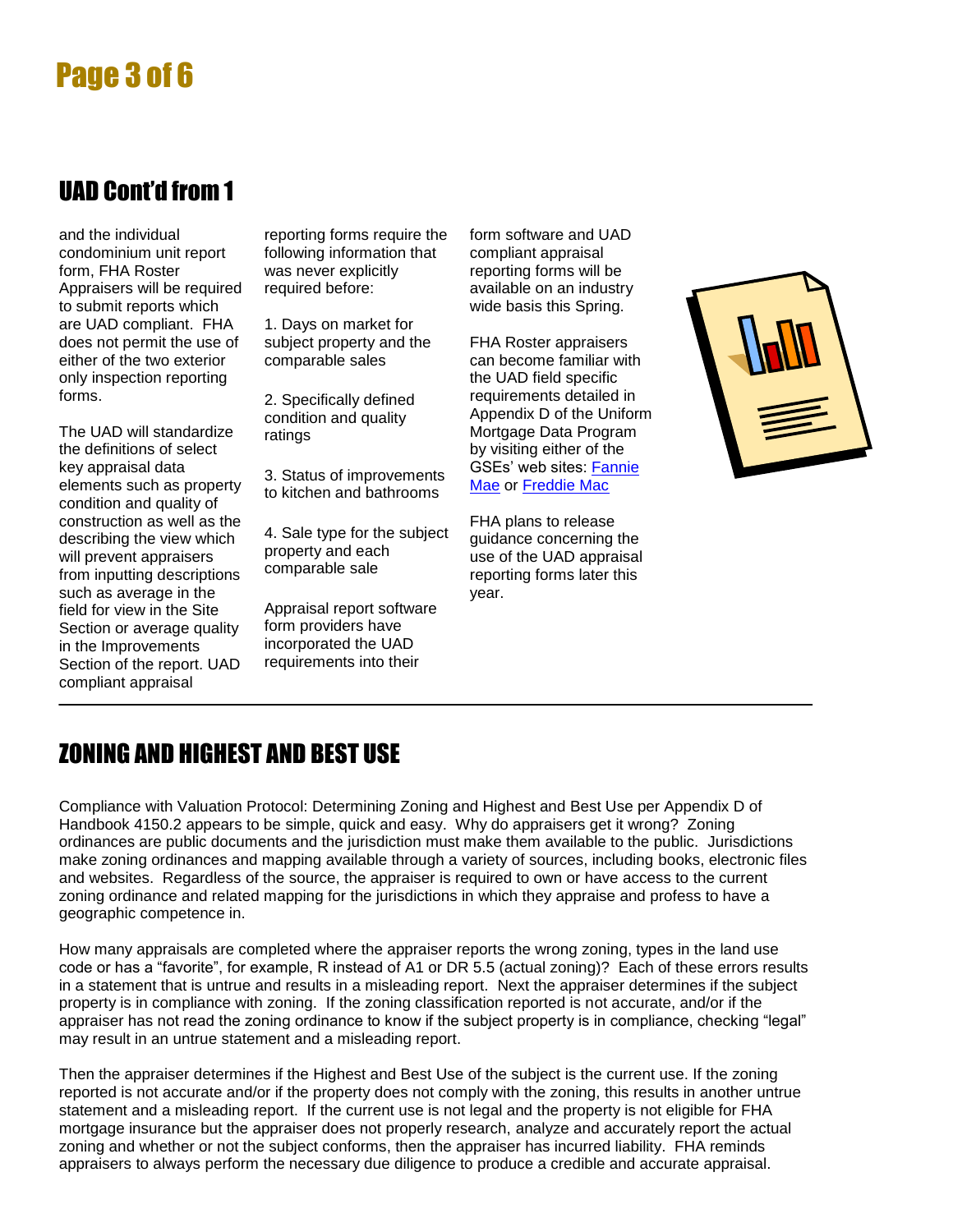# Page 3 of 6

#### UAD Cont'd from 1

and the individual condominium unit report form, FHA Roster Appraisers will be required to submit reports which are UAD compliant. FHA does not permit the use of either of the two exterior only inspection reporting forms.

The UAD will standardize the definitions of select key appraisal data elements such as property condition and quality of construction as well as the describing the view which will prevent appraisers from inputting descriptions such as average in the field for view in the Site Section or average quality in the Improvements Section of the report. UAD compliant appraisal

reporting forms require the following information that was never explicitly required before:

1. Days on market for subject property and the comparable sales

2. Specifically defined condition and quality ratings

3. Status of improvements to kitchen and bathrooms

4. Sale type for the subject property and each comparable sale

Appraisal report software form providers have incorporated the UAD requirements into their

form software and UAD compliant appraisal reporting forms will be available on an industry wide basis this Spring.

FHA Roster appraisers can become familiar with the UAD field specific requirements detailed in Appendix D of the Uniform Mortgage Data Program by visiting either of the GSEs' web sites: [Fannie](https://www.efanniemae.com/sf/lqi/umdp/uad/index.jsp)  [Mae](https://www.efanniemae.com/sf/lqi/umdp/uad/index.jsp) or [Freddie Mac](http://www.freddiemac.com/learn/selfstudy/Using_the_Uniform_Appraisal_Dataset/player.html)

FHA plans to release guidance concerning the use of the UAD appraisal reporting forms later this year.



## ZONING AND HIGHEST AND BEST USE

Compliance with Valuation Protocol: Determining Zoning and Highest and Best Use per Appendix D of Handbook 4150.2 appears to be simple, quick and easy. Why do appraisers get it wrong? Zoning ordinances are public documents and the jurisdiction must make them available to the public. Jurisdictions make zoning ordinances and mapping available through a variety of sources, including books, electronic files and websites. Regardless of the source, the appraiser is required to own or have access to the current zoning ordinance and related mapping for the jurisdictions in which they appraise and profess to have a geographic competence in.

How many appraisals are completed where the appraiser reports the wrong zoning, types in the land use code or has a "favorite", for example, R instead of A1 or DR 5.5 (actual zoning)? Each of these errors results in a statement that is untrue and results in a misleading report. Next the appraiser determines if the subject property is in compliance with zoning. If the zoning classification reported is not accurate, and/or if the appraiser has not read the zoning ordinance to know if the subject property is in compliance, checking "legal" may result in an untrue statement and a misleading report.

Then the appraiser determines if the Highest and Best Use of the subject is the current use. If the zoning reported is not accurate and/or if the property does not comply with the zoning, this results in another untrue statement and a misleading report. If the current use is not legal and the property is not eligible for FHA mortgage insurance but the appraiser does not properly research, analyze and accurately report the actual zoning and whether or not the subject conforms, then the appraiser has incurred liability. FHA reminds appraisers to always perform the necessary due diligence to produce a credible and accurate appraisal.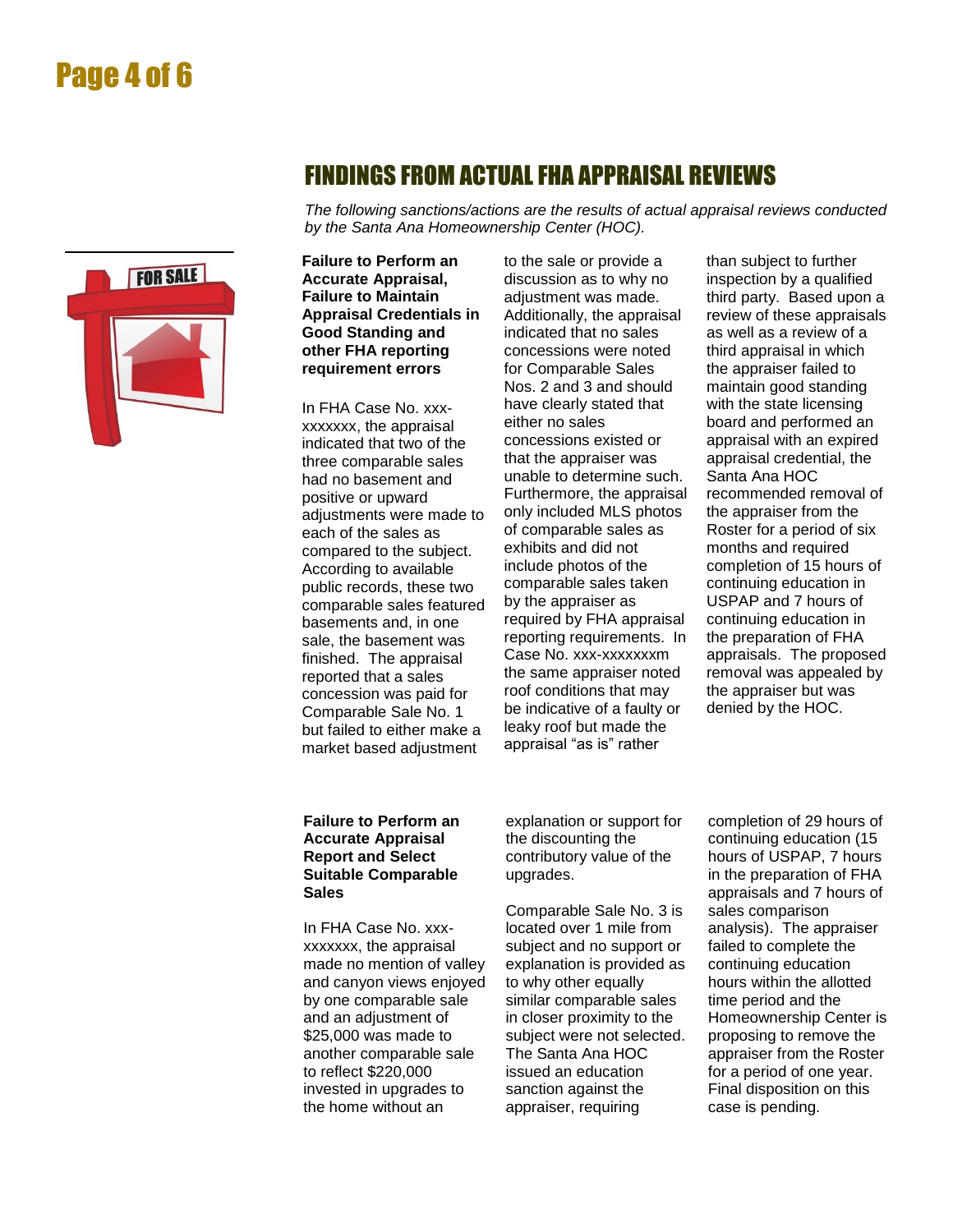## Page 4 of 6



#### FINDINGS FROM ACTUALFHA APPRAISAL REVIEWS

*The following sanctions/actions are the results of actual appraisal reviews conducted by the Santa Ana Homeownership Center (HOC).*

**Failure to Perform an Accurate Appraisal, Failure to Maintain Appraisal Credentials in Good Standing and other FHA reporting requirement errors**

In FHA Case No. xxxxxxxxxx, the appraisal indicated that two of the three comparable sales had no basement and positive or upward adjustments were made to each of the sales as compared to the subject. According to available public records, these two comparable sales featured basements and, in one sale, the basement was finished. The appraisal reported that a sales concession was paid for Comparable Sale No. 1 but failed to either make a market based adjustment

to the sale or provide a discussion as to why no adjustment was made. Additionally, the appraisal indicated that no sales concessions were noted for Comparable Sales Nos. 2 and 3 and should have clearly stated that either no sales concessions existed or that the appraiser was unable to determine such. Furthermore, the appraisal only included MLS photos of comparable sales as exhibits and did not include photos of the comparable sales taken by the appraiser as required by FHA appraisal reporting requirements. In Case No. xxx-xxxxxxxm the same appraiser noted roof conditions that may be indicative of a faulty or leaky roof but made the appraisal "as is" rather

than subject to further inspection by a qualified third party. Based upon a review of these appraisals as well as a review of a third appraisal in which the appraiser failed to maintain good standing with the state licensing board and performed an appraisal with an expired appraisal credential, the Santa Ana HOC recommended removal of the appraiser from the Roster for a period of six months and required completion of 15 hours of continuing education in USPAP and 7 hours of continuing education in the preparation of FHA appraisals. The proposed removal was appealed by the appraiser but was denied by the HOC.

#### **Failure to Perform an Accurate Appraisal Report and Select Suitable Comparable Sales**

In FHA Case No. xxxxxxxxxx, the appraisal made no mention of valley and canyon views enjoyed by one comparable sale and an adjustment of \$25,000 was made to another comparable sale to reflect \$220,000 invested in upgrades to the home without an

explanation or support for the discounting the contributory value of the upgrades.

Comparable Sale No. 3 is located over 1 mile from subject and no support or explanation is provided as to why other equally similar comparable sales in closer proximity to the subject were not selected. The Santa Ana HOC issued an education sanction against the appraiser, requiring

completion of 29 hours of continuing education (15 hours of USPAP, 7 hours in the preparation of FHA appraisals and 7 hours of sales comparison analysis). The appraiser failed to complete the continuing education hours within the allotted time period and the Homeownership Center is proposing to remove the appraiser from the Roster for a period of one year. Final disposition on this case is pending.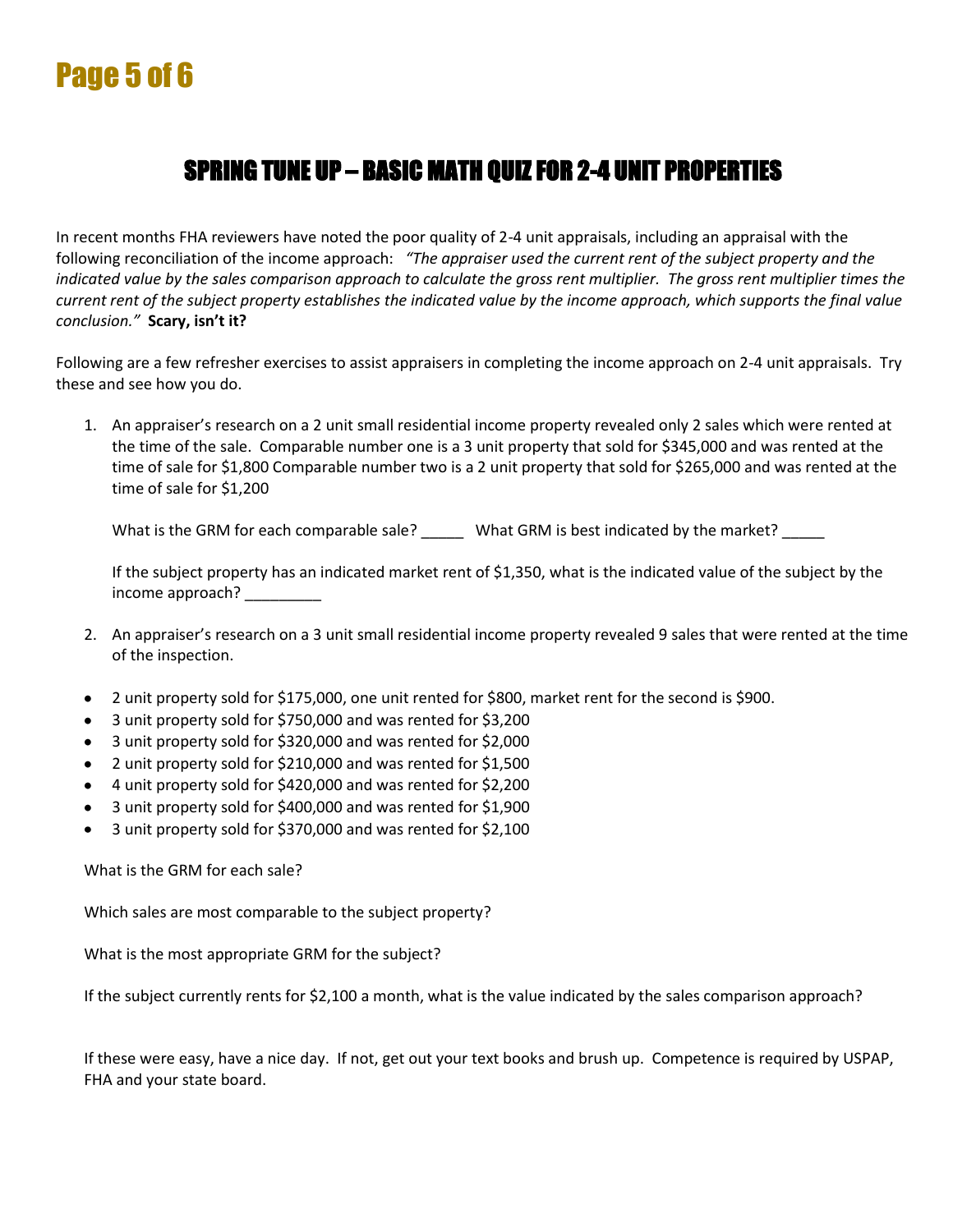# Page 5 of 6

### SPRING TUNE UP – BASIC MATH QUIZ FOR 2-4 UNIT PROPERTIES

In recent months FHA reviewers have noted the poor quality of 2-4 unit appraisals, including an appraisal with the following reconciliation of the income approach: *"The appraiser used the current rent of the subject property and the indicated value by the sales comparison approach to calculate the gross rent multiplier. The gross rent multiplier times the current rent of the subject property establishes the indicated value by the income approach, which supports the final value conclusion."* **Scary, isn't it?**

Following are a few refresher exercises to assist appraisers in completing the income approach on 2-4 unit appraisals. Try these and see how you do.

1. An appraiser's research on a 2 unit small residential income property revealed only 2 sales which were rented at the time of the sale. Comparable number one is a 3 unit property that sold for \$345,000 and was rented at the time of sale for \$1,800 Comparable number two is a 2 unit property that sold for \$265,000 and was rented at the time of sale for \$1,200

What is the GRM for each comparable sale? \_\_\_\_\_ What GRM is best indicated by the market? \_\_\_\_\_

If the subject property has an indicated market rent of \$1,350, what is the indicated value of the subject by the income approach?

- 2. An appraiser's research on a 3 unit small residential income property revealed 9 sales that were rented at the time of the inspection.
- 2 unit property sold for \$175,000, one unit rented for \$800, market rent for the second is \$900.  $\bullet$
- 3 unit property sold for \$750,000 and was rented for \$3,200
- 3 unit property sold for \$320,000 and was rented for \$2,000
- 2 unit property sold for \$210,000 and was rented for \$1,500
- 4 unit property sold for \$420,000 and was rented for \$2,200
- 3 unit property sold for \$400,000 and was rented for \$1,900
- 3 unit property sold for \$370,000 and was rented for \$2,100

What is the GRM for each sale?

Which sales are most comparable to the subject property?

What is the most appropriate GRM for the subject?

If the subject currently rents for \$2,100 a month, what is the value indicated by the sales comparison approach?

If these were easy, have a nice day. If not, get out your text books and brush up. Competence is required by USPAP, FHA and your state board.